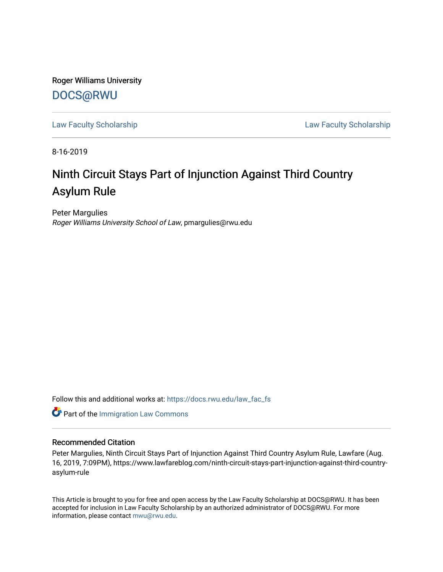Roger Williams University [DOCS@RWU](https://docs.rwu.edu/)

[Law Faculty Scholarship](https://docs.rwu.edu/law_fac_fs) [Law Faculty Scholarship](https://docs.rwu.edu/law_fac) 

8-16-2019

# Ninth Circuit Stays Part of Injunction Against Third Country Asylum Rule

Peter Margulies Roger Williams University School of Law, pmargulies@rwu.edu

Follow this and additional works at: [https://docs.rwu.edu/law\\_fac\\_fs](https://docs.rwu.edu/law_fac_fs?utm_source=docs.rwu.edu%2Flaw_fac_fs%2F287&utm_medium=PDF&utm_campaign=PDFCoverPages) 

**Part of the [Immigration Law Commons](http://network.bepress.com/hgg/discipline/604?utm_source=docs.rwu.edu%2Flaw_fac_fs%2F287&utm_medium=PDF&utm_campaign=PDFCoverPages)** 

### Recommended Citation

Peter Margulies, Ninth Circuit Stays Part of Injunction Against Third Country Asylum Rule, Lawfare (Aug. 16, 2019, 7:09PM), https://www.lawfareblog.com/ninth-circuit-stays-part-injunction-against-third-countryasylum-rule

This Article is brought to you for free and open access by the Law Faculty Scholarship at DOCS@RWU. It has been accepted for inclusion in Law Faculty Scholarship by an authorized administrator of DOCS@RWU. For more information, please contact [mwu@rwu.edu](mailto:mwu@rwu.edu).